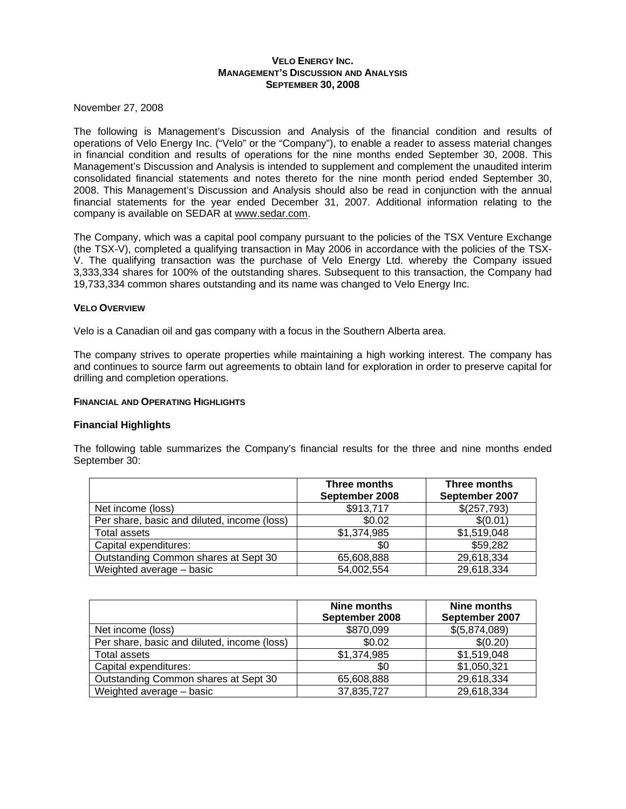# **VELO ENERGY INC. MANAGEMENT'S DISCUSSION AND ANALYSIS SEPTEMBER 30, 2008**

November 27, 2008

The following is Management's Discussion and Analysis of the financial condition and results of operations of Velo Energy Inc. ("Velo" or the "Company"), to enable a reader to assess material changes in financial condition and results of operations for the nine months ended September 30, 2008. This Management's Discussion and Analysis is intended to supplement and complement the unaudited interim consolidated financial statements and notes thereto for the nine month period ended September 30, 2008. This Management's Discussion and Analysis should also be read in conjunction with the annual financial statements for the year ended December 31, 2007. Additional information relating to the company is available on SEDAR at www.sedar.com.

The Company, which was a capital pool company pursuant to the policies of the TSX Venture Exchange (the TSX-V), completed a qualifying transaction in May 2006 in accordance with the policies of the TSX-V. The qualifying transaction was the purchase of Velo Energy Ltd. whereby the Company issued 3,333,334 shares for 100% of the outstanding shares. Subsequent to this transaction, the Company had 19,733,334 common shares outstanding and its name was changed to Velo Energy Inc.

# **VELO OVERVIEW**

Velo is a Canadian oil and gas company with a focus in the Southern Alberta area.

The company strives to operate properties while maintaining a high working interest. The company has and continues to source farm out agreements to obtain land for exploration in order to preserve capital for drilling and completion operations.

# **FINANCIAL AND OPERATING HIGHLIGHTS**

# **Financial Highlights**

The following table summarizes the Company's financial results for the three and nine months ended September 30:

|                                             | Three months<br>September 2008 | Three months<br>September 2007 |
|---------------------------------------------|--------------------------------|--------------------------------|
| Net income (loss)                           | \$913,717                      | \$(257,793)                    |
| Per share, basic and diluted, income (loss) | \$0.02                         | \$(0.01)                       |
| Total assets                                | \$1,374,985                    | \$1,519,048                    |
| Capital expenditures:                       | \$0                            | \$59,282                       |
| Outstanding Common shares at Sept 30        | 65,608,888                     | 29,618,334                     |
| Weighted average - basic                    | 54,002,554                     | 29,618,334                     |

|                                             | Nine months<br>September 2008 | Nine months<br>September 2007 |
|---------------------------------------------|-------------------------------|-------------------------------|
| Net income (loss)                           | \$870,099                     | \$(5,874,089)                 |
| Per share, basic and diluted, income (loss) | \$0.02                        | \$(0.20)                      |
| Total assets                                | \$1,374,985                   | \$1,519,048                   |
| Capital expenditures:                       | \$0                           | \$1,050,321                   |
| Outstanding Common shares at Sept 30        | 65,608,888                    | 29,618,334                    |
| Weighted average - basic                    | 37,835,727                    | 29,618,334                    |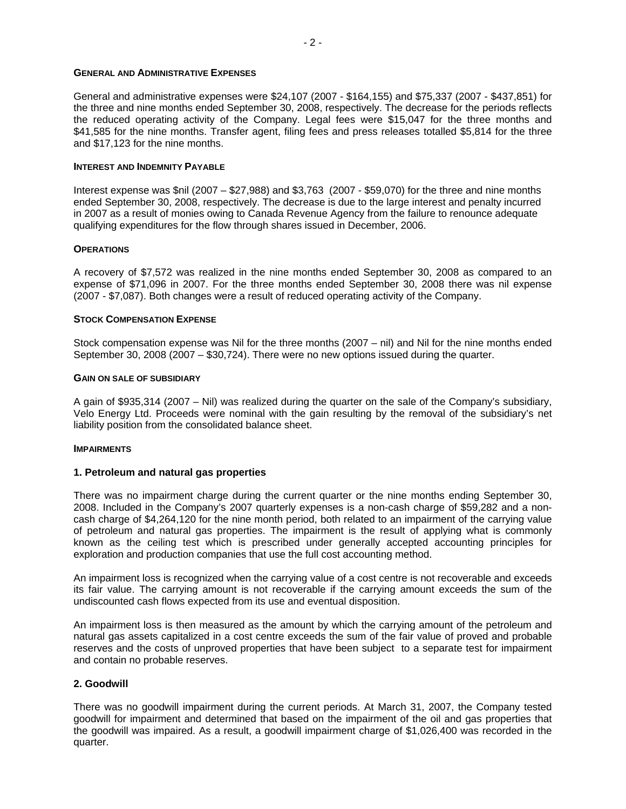## **GENERAL AND ADMINISTRATIVE EXPENSES**

General and administrative expenses were \$24,107 (2007 - \$164,155) and \$75,337 (2007 - \$437,851) for the three and nine months ended September 30, 2008, respectively. The decrease for the periods reflects the reduced operating activity of the Company. Legal fees were \$15,047 for the three months and \$41,585 for the nine months. Transfer agent, filing fees and press releases totalled \$5,814 for the three and \$17,123 for the nine months.

#### **INTEREST AND INDEMNITY PAYABLE**

Interest expense was \$nil (2007 – \$27,988) and \$3,763 (2007 - \$59,070) for the three and nine months ended September 30, 2008, respectively. The decrease is due to the large interest and penalty incurred in 2007 as a result of monies owing to Canada Revenue Agency from the failure to renounce adequate qualifying expenditures for the flow through shares issued in December, 2006.

#### **OPERATIONS**

A recovery of \$7,572 was realized in the nine months ended September 30, 2008 as compared to an expense of \$71,096 in 2007. For the three months ended September 30, 2008 there was nil expense (2007 - \$7,087). Both changes were a result of reduced operating activity of the Company.

## **STOCK COMPENSATION EXPENSE**

Stock compensation expense was Nil for the three months (2007 – nil) and Nil for the nine months ended September 30, 2008 (2007 – \$30,724). There were no new options issued during the quarter.

## **GAIN ON SALE OF SUBSIDIARY**

A gain of \$935,314 (2007 – Nil) was realized during the quarter on the sale of the Company's subsidiary, Velo Energy Ltd. Proceeds were nominal with the gain resulting by the removal of the subsidiary's net liability position from the consolidated balance sheet.

#### **IMPAIRMENTS**

## **1. Petroleum and natural gas properties**

There was no impairment charge during the current quarter or the nine months ending September 30, 2008. Included in the Company's 2007 quarterly expenses is a non-cash charge of \$59,282 and a noncash charge of \$4,264,120 for the nine month period, both related to an impairment of the carrying value of petroleum and natural gas properties. The impairment is the result of applying what is commonly known as the ceiling test which is prescribed under generally accepted accounting principles for exploration and production companies that use the full cost accounting method.

An impairment loss is recognized when the carrying value of a cost centre is not recoverable and exceeds its fair value. The carrying amount is not recoverable if the carrying amount exceeds the sum of the undiscounted cash flows expected from its use and eventual disposition.

An impairment loss is then measured as the amount by which the carrying amount of the petroleum and natural gas assets capitalized in a cost centre exceeds the sum of the fair value of proved and probable reserves and the costs of unproved properties that have been subject to a separate test for impairment and contain no probable reserves.

## **2. Goodwill**

There was no goodwill impairment during the current periods. At March 31, 2007, the Company tested goodwill for impairment and determined that based on the impairment of the oil and gas properties that the goodwill was impaired. As a result, a goodwill impairment charge of \$1,026,400 was recorded in the quarter.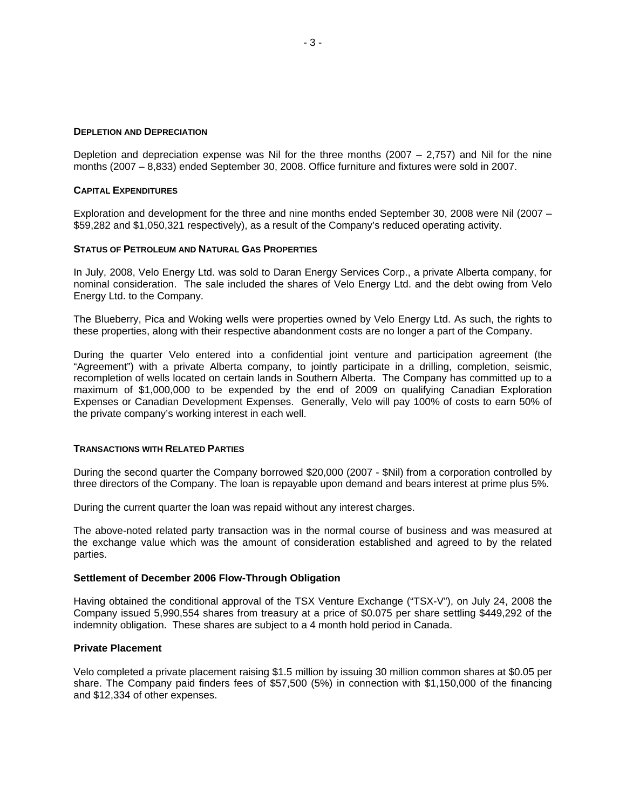#### **DEPLETION AND DEPRECIATION**

Depletion and depreciation expense was Nil for the three months  $(2007 - 2.757)$  and Nil for the nine months (2007 – 8,833) ended September 30, 2008. Office furniture and fixtures were sold in 2007.

#### **CAPITAL EXPENDITURES**

Exploration and development for the three and nine months ended September 30, 2008 were Nil (2007 – \$59,282 and \$1,050,321 respectively), as a result of the Company's reduced operating activity.

#### **STATUS OF PETROLEUM AND NATURAL GAS PROPERTIES**

In July, 2008, Velo Energy Ltd. was sold to Daran Energy Services Corp., a private Alberta company, for nominal consideration. The sale included the shares of Velo Energy Ltd. and the debt owing from Velo Energy Ltd. to the Company.

The Blueberry, Pica and Woking wells were properties owned by Velo Energy Ltd. As such, the rights to these properties, along with their respective abandonment costs are no longer a part of the Company.

During the quarter Velo entered into a confidential joint venture and participation agreement (the "Agreement") with a private Alberta company, to jointly participate in a drilling, completion, seismic, recompletion of wells located on certain lands in Southern Alberta. The Company has committed up to a maximum of \$1,000,000 to be expended by the end of 2009 on qualifying Canadian Exploration Expenses or Canadian Development Expenses. Generally, Velo will pay 100% of costs to earn 50% of the private company's working interest in each well.

## **TRANSACTIONS WITH RELATED PARTIES**

During the second quarter the Company borrowed \$20,000 (2007 - \$Nil) from a corporation controlled by three directors of the Company. The loan is repayable upon demand and bears interest at prime plus 5%.

During the current quarter the loan was repaid without any interest charges.

The above-noted related party transaction was in the normal course of business and was measured at the exchange value which was the amount of consideration established and agreed to by the related parties.

# **Settlement of December 2006 Flow-Through Obligation**

Having obtained the conditional approval of the TSX Venture Exchange ("TSX-V"), on July 24, 2008 the Company issued 5,990,554 shares from treasury at a price of \$0.075 per share settling \$449,292 of the indemnity obligation. These shares are subject to a 4 month hold period in Canada.

## **Private Placement**

Velo completed a private placement raising \$1.5 million by issuing 30 million common shares at \$0.05 per share. The Company paid finders fees of \$57,500 (5%) in connection with \$1,150,000 of the financing and \$12,334 of other expenses.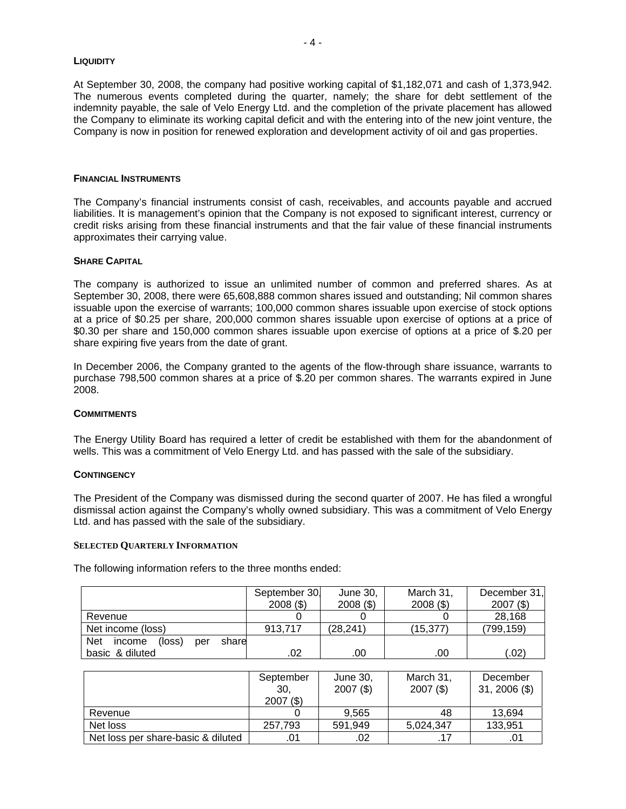#### **LIQUIDITY**

At September 30, 2008, the company had positive working capital of \$1,182,071 and cash of 1,373,942. The numerous events completed during the quarter, namely; the share for debt settlement of the indemnity payable, the sale of Velo Energy Ltd. and the completion of the private placement has allowed the Company to eliminate its working capital deficit and with the entering into of the new joint venture, the Company is now in position for renewed exploration and development activity of oil and gas properties.

## **FINANCIAL INSTRUMENTS**

The Company's financial instruments consist of cash, receivables, and accounts payable and accrued liabilities. It is management's opinion that the Company is not exposed to significant interest, currency or credit risks arising from these financial instruments and that the fair value of these financial instruments approximates their carrying value.

## **SHARE CAPITAL**

The company is authorized to issue an unlimited number of common and preferred shares. As at September 30, 2008, there were 65,608,888 common shares issued and outstanding; Nil common shares issuable upon the exercise of warrants; 100,000 common shares issuable upon exercise of stock options at a price of \$0.25 per share, 200,000 common shares issuable upon exercise of options at a price of \$0.30 per share and 150,000 common shares issuable upon exercise of options at a price of \$.20 per share expiring five years from the date of grant.

In December 2006, the Company granted to the agents of the flow-through share issuance, warrants to purchase 798,500 common shares at a price of \$.20 per common shares. The warrants expired in June 2008.

# **COMMITMENTS**

The Energy Utility Board has required a letter of credit be established with them for the abandonment of wells. This was a commitment of Velo Energy Ltd. and has passed with the sale of the subsidiary.

## **CONTINGENCY**

The President of the Company was dismissed during the second quarter of 2007. He has filed a wrongful dismissal action against the Company's wholly owned subsidiary. This was a commitment of Velo Energy Ltd. and has passed with the sale of the subsidiary.

# **SELECTED QUARTERLY INFORMATION**

The following information refers to the three months ended:

|                                         | September 30.<br>$2008($ \$) | June 30,<br>$2008($ \$) | March 31,<br>$2008($ \$) | December 31,<br>$2007($ \$) |
|-----------------------------------------|------------------------------|-------------------------|--------------------------|-----------------------------|
| Revenue                                 |                              |                         |                          | 28,168                      |
|                                         |                              |                         |                          |                             |
| Net income (loss)                       | 913.717                      | (28, 241)               | (15,377)                 | (799,159)                   |
| Net<br>(loss)<br>share<br>income<br>per |                              |                         |                          |                             |
| basic & diluted                         | .02                          | .00                     | .00                      | $.02^{\circ}$               |

|                                    | September<br>30,<br>$2007($ \$) | June 30,<br>$2007($ \$) | March 31,<br>$2007($ \$) | December<br>$31, 2006$ (\$) |
|------------------------------------|---------------------------------|-------------------------|--------------------------|-----------------------------|
| Revenue                            |                                 | 9.565                   | 48                       | 13,694                      |
| Net loss                           | 257.793                         | 591.949                 | 5,024,347                | 133,951                     |
| Net loss per share-basic & diluted | .01                             | .02                     |                          | .0'                         |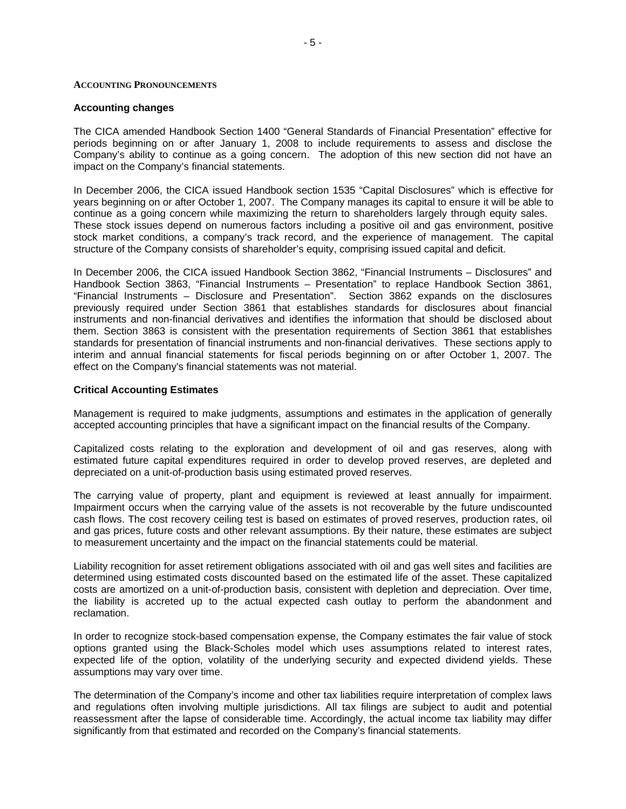# **ACCOUNTING PRONOUNCEMENTS**

## **Accounting changes**

The CICA amended Handbook Section 1400 "General Standards of Financial Presentation" effective for periods beginning on or after January 1, 2008 to include requirements to assess and disclose the Company's ability to continue as a going concern. The adoption of this new section did not have an impact on the Company's financial statements.

In December 2006, the CICA issued Handbook section 1535 "Capital Disclosures" which is effective for years beginning on or after October 1, 2007. The Company manages its capital to ensure it will be able to continue as a going concern while maximizing the return to shareholders largely through equity sales. These stock issues depend on numerous factors including a positive oil and gas environment, positive stock market conditions, a company's track record, and the experience of management. The capital structure of the Company consists of shareholder's equity, comprising issued capital and deficit.

In December 2006, the CICA issued Handbook Section 3862, "Financial Instruments – Disclosures" and Handbook Section 3863, "Financial Instruments – Presentation" to replace Handbook Section 3861, "Financial Instruments – Disclosure and Presentation". Section 3862 expands on the disclosures previously required under Section 3861 that establishes standards for disclosures about financial instruments and non-financial derivatives and identifies the information that should be disclosed about them. Section 3863 is consistent with the presentation requirements of Section 3861 that establishes standards for presentation of financial instruments and non-financial derivatives. These sections apply to interim and annual financial statements for fiscal periods beginning on or after October 1, 2007. The effect on the Company's financial statements was not material.

# **Critical Accounting Estimates**

Management is required to make judgments, assumptions and estimates in the application of generally accepted accounting principles that have a significant impact on the financial results of the Company.

Capitalized costs relating to the exploration and development of oil and gas reserves, along with estimated future capital expenditures required in order to develop proved reserves, are depleted and depreciated on a unit-of-production basis using estimated proved reserves.

The carrying value of property, plant and equipment is reviewed at least annually for impairment. Impairment occurs when the carrying value of the assets is not recoverable by the future undiscounted cash flows. The cost recovery ceiling test is based on estimates of proved reserves, production rates, oil and gas prices, future costs and other relevant assumptions. By their nature, these estimates are subject to measurement uncertainty and the impact on the financial statements could be material.

Liability recognition for asset retirement obligations associated with oil and gas well sites and facilities are determined using estimated costs discounted based on the estimated life of the asset. These capitalized costs are amortized on a unit-of-production basis, consistent with depletion and depreciation. Over time, the liability is accreted up to the actual expected cash outlay to perform the abandonment and reclamation.

In order to recognize stock-based compensation expense, the Company estimates the fair value of stock options granted using the Black-Scholes model which uses assumptions related to interest rates, expected life of the option, volatility of the underlying security and expected dividend yields. These assumptions may vary over time.

The determination of the Company's income and other tax liabilities require interpretation of complex laws and regulations often involving multiple jurisdictions. All tax filings are subject to audit and potential reassessment after the lapse of considerable time. Accordingly, the actual income tax liability may differ significantly from that estimated and recorded on the Company's financial statements.